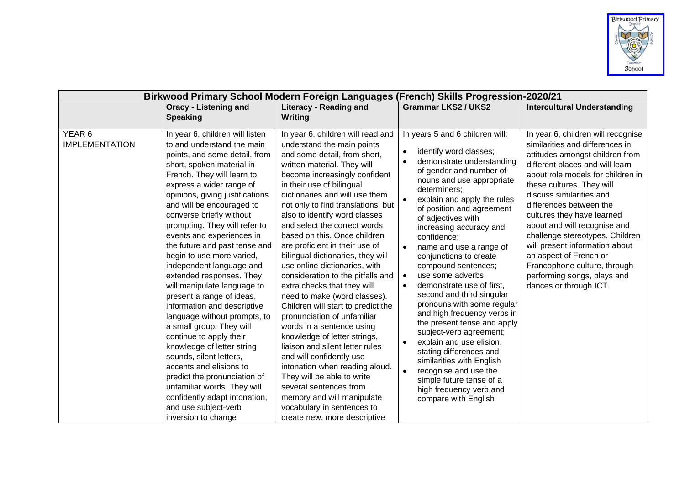

| Birkwood Primary School Modern Foreign Languages (French) Skills Progression-2020/21 |                                                                                                                                                                                                                                                                                                                                                                                                                                                                                                                                                                                                                                                                                                                                                                                                                                                                                            |                                                                                                                                                                                                                                                                                                                                                                                                                                                                                                                                                                                                                                                                                                                                                                                                                                                                                                                                                                          |                                                                                                                                                                                                                                                                                                                                                                                                                                                                                                                                                                                                                                                                                                                                                                                                                |                                                                                                                                                                                                                                                                                                                                                                                                                                                                                                                            |
|--------------------------------------------------------------------------------------|--------------------------------------------------------------------------------------------------------------------------------------------------------------------------------------------------------------------------------------------------------------------------------------------------------------------------------------------------------------------------------------------------------------------------------------------------------------------------------------------------------------------------------------------------------------------------------------------------------------------------------------------------------------------------------------------------------------------------------------------------------------------------------------------------------------------------------------------------------------------------------------------|--------------------------------------------------------------------------------------------------------------------------------------------------------------------------------------------------------------------------------------------------------------------------------------------------------------------------------------------------------------------------------------------------------------------------------------------------------------------------------------------------------------------------------------------------------------------------------------------------------------------------------------------------------------------------------------------------------------------------------------------------------------------------------------------------------------------------------------------------------------------------------------------------------------------------------------------------------------------------|----------------------------------------------------------------------------------------------------------------------------------------------------------------------------------------------------------------------------------------------------------------------------------------------------------------------------------------------------------------------------------------------------------------------------------------------------------------------------------------------------------------------------------------------------------------------------------------------------------------------------------------------------------------------------------------------------------------------------------------------------------------------------------------------------------------|----------------------------------------------------------------------------------------------------------------------------------------------------------------------------------------------------------------------------------------------------------------------------------------------------------------------------------------------------------------------------------------------------------------------------------------------------------------------------------------------------------------------------|
|                                                                                      | <b>Oracy - Listening and</b>                                                                                                                                                                                                                                                                                                                                                                                                                                                                                                                                                                                                                                                                                                                                                                                                                                                               | <b>Literacy - Reading and</b>                                                                                                                                                                                                                                                                                                                                                                                                                                                                                                                                                                                                                                                                                                                                                                                                                                                                                                                                            | <b>Grammar LKS2 / UKS2</b>                                                                                                                                                                                                                                                                                                                                                                                                                                                                                                                                                                                                                                                                                                                                                                                     | <b>Intercultural Understanding</b>                                                                                                                                                                                                                                                                                                                                                                                                                                                                                         |
|                                                                                      | <b>Speaking</b>                                                                                                                                                                                                                                                                                                                                                                                                                                                                                                                                                                                                                                                                                                                                                                                                                                                                            | Writing                                                                                                                                                                                                                                                                                                                                                                                                                                                                                                                                                                                                                                                                                                                                                                                                                                                                                                                                                                  |                                                                                                                                                                                                                                                                                                                                                                                                                                                                                                                                                                                                                                                                                                                                                                                                                |                                                                                                                                                                                                                                                                                                                                                                                                                                                                                                                            |
| YEAR 6<br><b>IMPLEMENTATION</b>                                                      | In year 6, children will listen<br>to and understand the main<br>points, and some detail, from<br>short, spoken material in<br>French. They will learn to<br>express a wider range of<br>opinions, giving justifications<br>and will be encouraged to<br>converse briefly without<br>prompting. They will refer to<br>events and experiences in<br>the future and past tense and<br>begin to use more varied,<br>independent language and<br>extended responses. They<br>will manipulate language to<br>present a range of ideas,<br>information and descriptive<br>language without prompts, to<br>a small group. They will<br>continue to apply their<br>knowledge of letter string<br>sounds, silent letters,<br>accents and elisions to<br>predict the pronunciation of<br>unfamiliar words. They will<br>confidently adapt intonation,<br>and use subject-verb<br>inversion to change | In year 6, children will read and<br>understand the main points<br>and some detail, from short,<br>written material. They will<br>become increasingly confident<br>in their use of bilingual<br>dictionaries and will use them<br>not only to find translations, but<br>also to identify word classes<br>and select the correct words<br>based on this. Once children<br>are proficient in their use of<br>bilingual dictionaries, they will<br>use online dictionaries, with<br>consideration to the pitfalls and<br>extra checks that they will<br>need to make (word classes).<br>Children will start to predict the<br>pronunciation of unfamiliar<br>words in a sentence using<br>knowledge of letter strings,<br>liaison and silent letter rules<br>and will confidently use<br>intonation when reading aloud.<br>They will be able to write<br>several sentences from<br>memory and will manipulate<br>vocabulary in sentences to<br>create new, more descriptive | In years 5 and 6 children will:<br>identify word classes;<br>demonstrate understanding<br>of gender and number of<br>nouns and use appropriate<br>determiners:<br>explain and apply the rules<br>of position and agreement<br>of adjectives with<br>increasing accuracy and<br>confidence;<br>name and use a range of<br>conjunctions to create<br>compound sentences;<br>use some adverbs<br>$\bullet$<br>demonstrate use of first,<br>$\bullet$<br>second and third singular<br>pronouns with some regular<br>and high frequency verbs in<br>the present tense and apply<br>subject-verb agreement;<br>explain and use elision,<br>$\bullet$<br>stating differences and<br>similarities with English<br>recognise and use the<br>simple future tense of a<br>high frequency verb and<br>compare with English | In year 6, children will recognise<br>similarities and differences in<br>attitudes amongst children from<br>different places and will learn<br>about role models for children in<br>these cultures. They will<br>discuss similarities and<br>differences between the<br>cultures they have learned<br>about and will recognise and<br>challenge stereotypes. Children<br>will present information about<br>an aspect of French or<br>Francophone culture, through<br>performing songs, plays and<br>dances or through ICT. |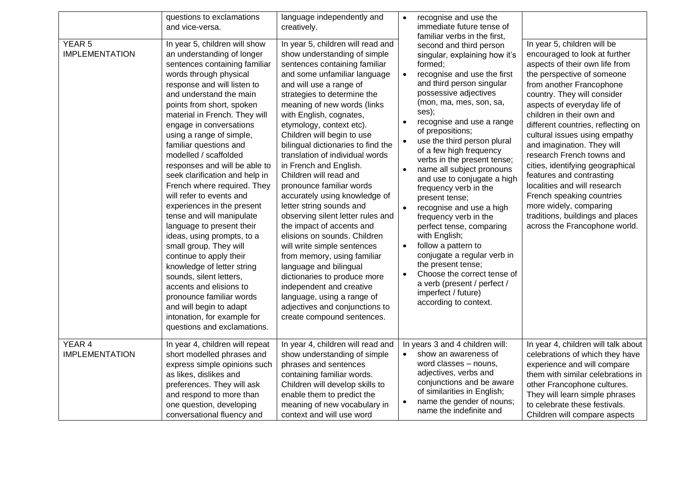| YEAR <sub>5</sub><br><b>IMPLEMENTATION</b> | questions to exclamations<br>and vice-versa.<br>In year 5, children will show<br>an understanding of longer<br>sentences containing familiar<br>words through physical<br>response and will listen to<br>and understand the main<br>points from short, spoken<br>material in French. They will<br>engage in conversations<br>using a range of simple,<br>familiar questions and<br>modelled / scaffolded<br>responses and will be able to<br>seek clarification and help in<br>French where required. They<br>will refer to events and<br>experiences in the present<br>tense and will manipulate<br>language to present their<br>ideas, using prompts, to a<br>small group. They will<br>continue to apply their<br>knowledge of letter string<br>sounds, silent letters,<br>accents and elisions to<br>pronounce familiar words | language independently and<br>creatively.<br>In year 5, children will read and<br>show understanding of simple<br>sentences containing familiar<br>and some unfamiliar language<br>and will use a range of<br>strategies to determine the<br>meaning of new words (links<br>with English, cognates,<br>etymology, context etc).<br>Children will begin to use<br>bilingual dictionaries to find the<br>translation of individual words<br>in French and English.<br>Children will read and<br>pronounce familiar words<br>accurately using knowledge of<br>letter string sounds and<br>observing silent letter rules and<br>the impact of accents and<br>elisions on sounds. Children<br>will write simple sentences<br>from memory, using familiar<br>language and bilingual<br>dictionaries to produce more<br>independent and creative<br>language, using a range of | $\bullet$<br>$\bullet$<br>$\bullet$<br>$\bullet$ | recognise and use the<br>immediate future tense of<br>familiar verbs in the first,<br>second and third person<br>singular, explaining how it's<br>formed;<br>recognise and use the first<br>and third person singular<br>possessive adjectives<br>(mon, ma, mes, son, sa,<br>ses);<br>recognise and use a range<br>of prepositions;<br>use the third person plural<br>of a few high frequency<br>verbs in the present tense;<br>name all subject pronouns<br>and use to conjugate a high<br>frequency verb in the<br>present tense;<br>recognise and use a high<br>frequency verb in the<br>perfect tense, comparing<br>with English;<br>follow a pattern to<br>conjugate a regular verb in<br>the present tense;<br>Choose the correct tense of<br>a verb (present / perfect /<br>imperfect / future)<br>according to context. | In year 5, children will be<br>encouraged to look at further<br>aspects of their own life from<br>the perspective of someone<br>from another Francophone<br>country. They will consider<br>aspects of everyday life of<br>children in their own and<br>different countries, reflecting on<br>cultural issues using empathy<br>and imagination. They will<br>research French towns and<br>cities, identifying geographical<br>features and contrasting<br>localities and will research<br>French speaking countries<br>more widely, comparing<br>traditions, buildings and places<br>across the Francophone world. |
|--------------------------------------------|-----------------------------------------------------------------------------------------------------------------------------------------------------------------------------------------------------------------------------------------------------------------------------------------------------------------------------------------------------------------------------------------------------------------------------------------------------------------------------------------------------------------------------------------------------------------------------------------------------------------------------------------------------------------------------------------------------------------------------------------------------------------------------------------------------------------------------------|-------------------------------------------------------------------------------------------------------------------------------------------------------------------------------------------------------------------------------------------------------------------------------------------------------------------------------------------------------------------------------------------------------------------------------------------------------------------------------------------------------------------------------------------------------------------------------------------------------------------------------------------------------------------------------------------------------------------------------------------------------------------------------------------------------------------------------------------------------------------------|--------------------------------------------------|---------------------------------------------------------------------------------------------------------------------------------------------------------------------------------------------------------------------------------------------------------------------------------------------------------------------------------------------------------------------------------------------------------------------------------------------------------------------------------------------------------------------------------------------------------------------------------------------------------------------------------------------------------------------------------------------------------------------------------------------------------------------------------------------------------------------------------|-------------------------------------------------------------------------------------------------------------------------------------------------------------------------------------------------------------------------------------------------------------------------------------------------------------------------------------------------------------------------------------------------------------------------------------------------------------------------------------------------------------------------------------------------------------------------------------------------------------------|
|                                            | and will begin to adapt<br>intonation, for example for<br>questions and exclamations.                                                                                                                                                                                                                                                                                                                                                                                                                                                                                                                                                                                                                                                                                                                                             | adjectives and conjunctions to<br>create compound sentences.                                                                                                                                                                                                                                                                                                                                                                                                                                                                                                                                                                                                                                                                                                                                                                                                            |                                                  |                                                                                                                                                                                                                                                                                                                                                                                                                                                                                                                                                                                                                                                                                                                                                                                                                                 |                                                                                                                                                                                                                                                                                                                                                                                                                                                                                                                                                                                                                   |
| YEAR 4<br><b>IMPLEMENTATION</b>            | In year 4, children will repeat<br>short modelled phrases and<br>express simple opinions such<br>as likes, dislikes and<br>preferences. They will ask<br>and respond to more than<br>one question, developing<br>conversational fluency and                                                                                                                                                                                                                                                                                                                                                                                                                                                                                                                                                                                       | In year 4, children will read and<br>show understanding of simple<br>phrases and sentences<br>containing familiar words.<br>Children will develop skills to<br>enable them to predict the<br>meaning of new vocabulary in<br>context and will use word                                                                                                                                                                                                                                                                                                                                                                                                                                                                                                                                                                                                                  | $\bullet$                                        | In years 3 and 4 children will:<br>show an awareness of<br>word classes - nouns,<br>adjectives, verbs and<br>conjunctions and be aware<br>of similarities in English;<br>name the gender of nouns;<br>name the indefinite and                                                                                                                                                                                                                                                                                                                                                                                                                                                                                                                                                                                                   | In year 4, children will talk about<br>celebrations of which they have<br>experience and will compare<br>them with similar celebrations in<br>other Francophone cultures.<br>They will learn simple phrases<br>to celebrate these festivals.<br>Children will compare aspects                                                                                                                                                                                                                                                                                                                                     |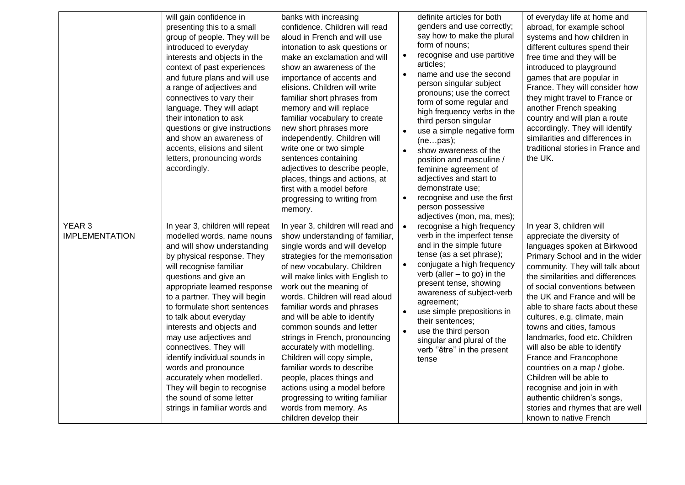|                                            | will gain confidence in<br>presenting this to a small<br>group of people. They will be<br>introduced to everyday<br>interests and objects in the<br>context of past experiences<br>and future plans and will use<br>a range of adjectives and<br>connectives to vary their<br>language. They will adapt<br>their intonation to ask<br>questions or give instructions<br>and show an awareness of<br>accents, elisions and silent<br>letters, pronouncing words<br>accordingly.                                                                                               | banks with increasing<br>confidence. Children will read<br>aloud in French and will use<br>intonation to ask questions or<br>make an exclamation and will<br>show an awareness of the<br>importance of accents and<br>elisions. Children will write<br>familiar short phrases from<br>memory and will replace<br>familiar vocabulary to create<br>new short phrases more<br>independently. Children will<br>write one or two simple<br>sentences containing<br>adjectives to describe people,<br>places, things and actions, at<br>first with a model before<br>progressing to writing from<br>memory.                                            | $\bullet$<br>$\bullet$<br>$\bullet$ | definite articles for both<br>genders and use correctly;<br>say how to make the plural<br>form of nouns;<br>recognise and use partitive<br>articles;<br>name and use the second<br>person singular subject<br>pronouns; use the correct<br>form of some regular and<br>high frequency verbs in the<br>third person singular<br>use a simple negative form<br>(nepas);<br>show awareness of the<br>position and masculine /<br>feminine agreement of<br>adjectives and start to<br>demonstrate use;<br>recognise and use the first<br>person possessive<br>adjectives (mon, ma, mes); | of everyday life at home and<br>abroad, for example school<br>systems and how children in<br>different cultures spend their<br>free time and they will be<br>introduced to playground<br>games that are popular in<br>France. They will consider how<br>they might travel to France or<br>another French speaking<br>country and will plan a route<br>accordingly. They will identify<br>similarities and differences in<br>traditional stories in France and<br>the UK.                                                                                                                                                                             |
|--------------------------------------------|------------------------------------------------------------------------------------------------------------------------------------------------------------------------------------------------------------------------------------------------------------------------------------------------------------------------------------------------------------------------------------------------------------------------------------------------------------------------------------------------------------------------------------------------------------------------------|---------------------------------------------------------------------------------------------------------------------------------------------------------------------------------------------------------------------------------------------------------------------------------------------------------------------------------------------------------------------------------------------------------------------------------------------------------------------------------------------------------------------------------------------------------------------------------------------------------------------------------------------------|-------------------------------------|--------------------------------------------------------------------------------------------------------------------------------------------------------------------------------------------------------------------------------------------------------------------------------------------------------------------------------------------------------------------------------------------------------------------------------------------------------------------------------------------------------------------------------------------------------------------------------------|------------------------------------------------------------------------------------------------------------------------------------------------------------------------------------------------------------------------------------------------------------------------------------------------------------------------------------------------------------------------------------------------------------------------------------------------------------------------------------------------------------------------------------------------------------------------------------------------------------------------------------------------------|
| YEAR <sub>3</sub><br><b>IMPLEMENTATION</b> | In year 3, children will repeat<br>modelled words, name nouns<br>and will show understanding<br>by physical response. They<br>will recognise familiar<br>questions and give an<br>appropriate learned response<br>to a partner. They will begin<br>to formulate short sentences<br>to talk about everyday<br>interests and objects and<br>may use adjectives and<br>connectives. They will<br>identify individual sounds in<br>words and pronounce<br>accurately when modelled.<br>They will begin to recognise<br>the sound of some letter<br>strings in familiar words and | In year 3, children will read and<br>show understanding of familiar,<br>single words and will develop<br>strategies for the memorisation<br>of new vocabulary. Children<br>will make links with English to<br>work out the meaning of<br>words. Children will read aloud<br>familiar words and phrases<br>and will be able to identify<br>common sounds and letter<br>strings in French, pronouncing<br>accurately with modelling.<br>Children will copy simple,<br>familiar words to describe<br>people, places things and<br>actions using a model before<br>progressing to writing familiar<br>words from memory. As<br>children develop their | $\bullet$<br>$\bullet$              | recognise a high frequency<br>verb in the imperfect tense<br>and in the simple future<br>tense (as a set phrase);<br>conjugate a high frequency<br>verb (aller $-$ to go) in the<br>present tense, showing<br>awareness of subject-verb<br>agreement;<br>use simple prepositions in<br>their sentences;<br>use the third person<br>singular and plural of the<br>verb "être" in the present<br>tense                                                                                                                                                                                 | In year 3, children will<br>appreciate the diversity of<br>languages spoken at Birkwood<br>Primary School and in the wider<br>community. They will talk about<br>the similarities and differences<br>of social conventions between<br>the UK and France and will be<br>able to share facts about these<br>cultures, e.g. climate, main<br>towns and cities, famous<br>landmarks, food etc. Children<br>will also be able to identify<br>France and Francophone<br>countries on a map / globe.<br>Children will be able to<br>recognise and join in with<br>authentic children's songs,<br>stories and rhymes that are well<br>known to native French |